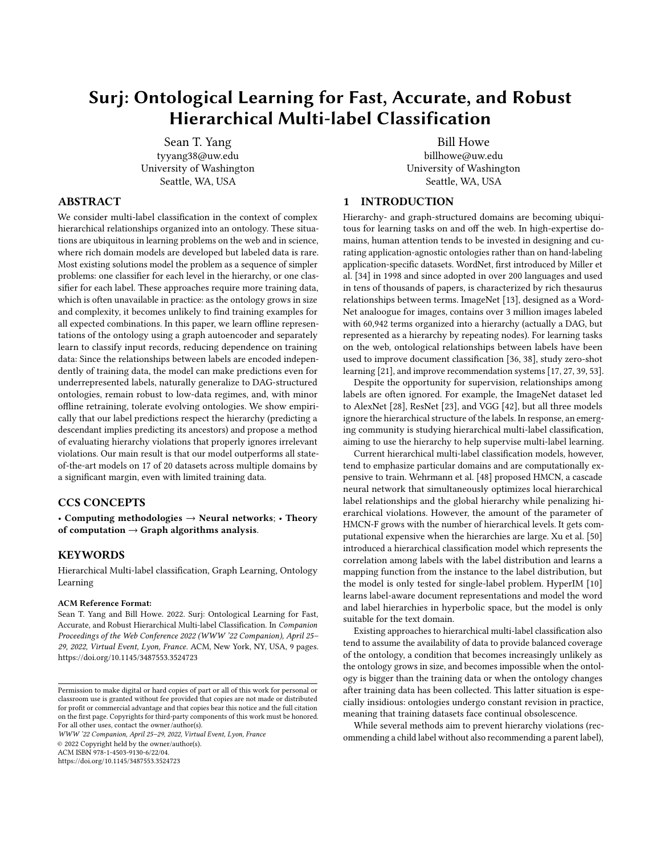# Surj: Ontological Learning for Fast, Accurate, and Robust Hierarchical Multi-label Classification

Sean T. Yang tyyang38@uw.edu University of Washington Seattle, WA, USA

Bill Howe billhowe@uw.edu University of Washington Seattle, WA, USA

# ABSTRACT

We consider multi-label classification in the context of complex hierarchical relationships organized into an ontology. These situations are ubiquitous in learning problems on the web and in science, where rich domain models are developed but labeled data is rare. Most existing solutions model the problem as a sequence of simpler problems: one classifier for each level in the hierarchy, or one classifier for each label. These approaches require more training data, which is often unavailable in practice: as the ontology grows in size and complexity, it becomes unlikely to find training examples for all expected combinations. In this paper, we learn offline representations of the ontology using a graph autoencoder and separately learn to classify input records, reducing dependence on training data: Since the relationships between labels are encoded independently of training data, the model can make predictions even for underrepresented labels, naturally generalize to DAG-structured ontologies, remain robust to low-data regimes, and, with minor offline retraining, tolerate evolving ontologies. We show empirically that our label predictions respect the hierarchy (predicting a descendant implies predicting its ancestors) and propose a method of evaluating hierarchy violations that properly ignores irrelevant violations. Our main result is that our model outperforms all stateof-the-art models on 17 of 20 datasets across multiple domains by a significant margin, even with limited training data.

#### CCS CONCEPTS

• Computing methodologies  $\rightarrow$  Neural networks; • Theory of computation  $\rightarrow$  Graph algorithms analysis.

#### **KEYWORDS**

Hierarchical Multi-label classification, Graph Learning, Ontology Learning

#### ACM Reference Format:

Sean T. Yang and Bill Howe. 2022. Surj: Ontological Learning for Fast, Accurate, and Robust Hierarchical Multi-label Classification. In Companion Proceedings of the Web Conference 2022 (WWW '22 Companion), April 25– 29, 2022, Virtual Event, Lyon, France. ACM, New York, NY, USA, [9](#page-8-0) pages. <https://doi.org/10.1145/3487553.3524723>

WWW '22 Companion, April 25–29, 2022, Virtual Event, Lyon, France

© 2022 Copyright held by the owner/author(s). ACM ISBN 978-1-4503-9130-6/22/04.

#### <https://doi.org/10.1145/3487553.3524723>

## 1 INTRODUCTION

Hierarchy- and graph-structured domains are becoming ubiquitous for learning tasks on and off the web. In high-expertise domains, human attention tends to be invested in designing and curating application-agnostic ontologies rather than on hand-labeling application-specific datasets. WordNet, first introduced by Miller et al. [\[34\]](#page-8-1) in 1998 and since adopted in over 200 languages and used in tens of thousands of papers, is characterized by rich thesaurus relationships between terms. ImageNet [\[13\]](#page-8-2), designed as a Word-Net analoogue for images, contains over 3 million images labeled with 60,942 terms organized into a hierarchy (actually a DAG, but represented as a hierarchy by repeating nodes). For learning tasks on the web, ontological relationships between labels have been used to improve document classification [\[36,](#page-8-3) [38\]](#page-8-4), study zero-shot learning [\[21\]](#page-8-5), and improve recommendation systems [\[17,](#page-8-6) [27,](#page-8-7) [39,](#page-8-8) [53\]](#page-8-9).

Despite the opportunity for supervision, relationships among labels are often ignored. For example, the ImageNet dataset led to AlexNet [\[28\]](#page-8-10), ResNet [\[23\]](#page-8-11), and VGG [\[42\]](#page-8-12), but all three models ignore the hierarchical structure of the labels. In response, an emerging community is studying hierarchical multi-label classification, aiming to use the hierarchy to help supervise multi-label learning.

Current hierarchical multi-label classification models, however, tend to emphasize particular domains and are computationally expensive to train. Wehrmann et al. [\[48\]](#page-8-13) proposed HMCN, a cascade neural network that simultaneously optimizes local hierarchical label relationships and the global hierarchy while penalizing hierarchical violations. However, the amount of the parameter of HMCN-F grows with the number of hierarchical levels. It gets computational expensive when the hierarchies are large. Xu et al. [\[50\]](#page-8-14) introduced a hierarchical classification model which represents the correlation among labels with the label distribution and learns a mapping function from the instance to the label distribution, but the model is only tested for single-label problem. HyperIM [\[10\]](#page-8-15) learns label-aware document representations and model the word and label hierarchies in hyperbolic space, but the model is only suitable for the text domain.

Existing approaches to hierarchical multi-label classification also tend to assume the availability of data to provide balanced coverage of the ontology, a condition that becomes increasingly unlikely as the ontology grows in size, and becomes impossible when the ontology is bigger than the training data or when the ontology changes after training data has been collected. This latter situation is especially insidious: ontologies undergo constant revision in practice, meaning that training datasets face continual obsolescence.

While several methods aim to prevent hierarchy violations (recommending a child label without also recommending a parent label),

Permission to make digital or hard copies of part or all of this work for personal or classroom use is granted without fee provided that copies are not made or distributed for profit or commercial advantage and that copies bear this notice and the full citation on the first page. Copyrights for third-party components of this work must be honored. For all other uses, contact the owner/author(s).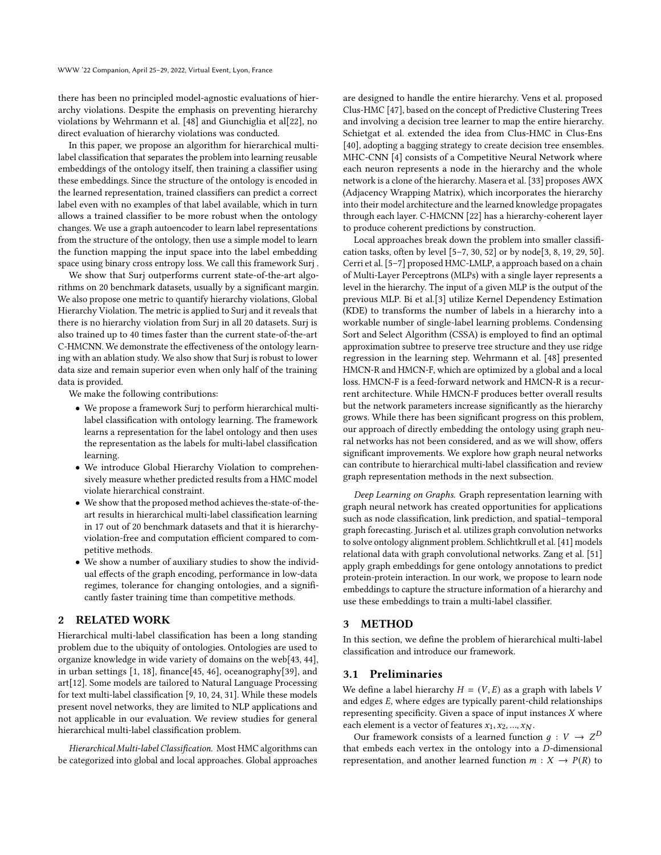there has been no principled model-agnostic evaluations of hierarchy violations. Despite the emphasis on preventing hierarchy violations by Wehrmann et al. [\[48\]](#page-8-13) and Giunchiglia et al[\[22\]](#page-8-16), no direct evaluation of hierarchy violations was conducted.

In this paper, we propose an algorithm for hierarchical multilabel classification that separates the problem into learning reusable embeddings of the ontology itself, then training a classifier using these embeddings. Since the structure of the ontology is encoded in the learned representation, trained classifiers can predict a correct label even with no examples of that label available, which in turn allows a trained classifier to be more robust when the ontology changes. We use a graph autoencoder to learn label representations from the structure of the ontology, then use a simple model to learn the function mapping the input space into the label embedding space using binary cross entropy loss. We call this framework Surj .

We show that Surj outperforms current state-of-the-art algorithms on 20 benchmark datasets, usually by a significant margin. We also propose one metric to quantify hierarchy violations, Global Hierarchy Violation. The metric is applied to Surj and it reveals that there is no hierarchy violation from Surj in all 20 datasets. Surj is also trained up to 40 times faster than the current state-of-the-art C-HMCNN. We demonstrate the effectiveness of the ontology learning with an ablation study. We also show that Surj is robust to lower data size and remain superior even when only half of the training data is provided.

We make the following contributions:

- We propose a framework Surj to perform hierarchical multilabel classification with ontology learning. The framework learns a representation for the label ontology and then uses the representation as the labels for multi-label classification learning.
- We introduce Global Hierarchy Violation to comprehensively measure whether predicted results from a HMC model violate hierarchical constraint.
- We show that the proposed method achieves the-state-of-theart results in hierarchical multi-label classification learning in 17 out of 20 benchmark datasets and that it is hierarchyviolation-free and computation efficient compared to competitive methods.
- We show a number of auxiliary studies to show the individual effects of the graph encoding, performance in low-data regimes, tolerance for changing ontologies, and a significantly faster training time than competitive methods.

### 2 RELATED WORK

Hierarchical multi-label classification has been a long standing problem due to the ubiquity of ontologies. Ontologies are used to organize knowledge in wide variety of domains on the web[\[43,](#page-8-17) [44\]](#page-8-18), in urban settings [\[1,](#page-8-19) [18\]](#page-8-20), finance[\[45,](#page-8-21) [46\]](#page-8-22), oceanography[\[39\]](#page-8-8), and art[\[12\]](#page-8-23). Some models are tailored to Natural Language Processing for text multi-label classification [\[9,](#page-8-24) [10,](#page-8-15) [24,](#page-8-25) [31\]](#page-8-26). While these models present novel networks, they are limited to NLP applications and not applicable in our evaluation. We review studies for general hierarchical multi-label classification problem.

Hierarchical Multi-label Classification. Most HMC algorithms can be categorized into global and local approaches. Global approaches are designed to handle the entire hierarchy. Vens et al. proposed Clus-HMC [\[47\]](#page-8-27), based on the concept of Predictive Clustering Trees and involving a decision tree learner to map the entire hierarchy. Schietgat et al. extended the idea from Clus-HMC in Clus-Ens [\[40\]](#page-8-28), adopting a bagging strategy to create decision tree ensembles. MHC-CNN [\[4\]](#page-8-29) consists of a Competitive Neural Network where each neuron represents a node in the hierarchy and the whole network is a clone of the hierarchy. Masera et al. [\[33\]](#page-8-30) proposes AWX (Adjacency Wrapping Matrix), which incorporates the hierarchy into their model architecture and the learned knowledge propagates through each layer. C-HMCNN [\[22\]](#page-8-16) has a hierarchy-coherent layer to produce coherent predictions by construction.

Local approaches break down the problem into smaller classification tasks, often by level [\[5](#page-8-31)[–7,](#page-8-32) [30,](#page-8-33) [52\]](#page-8-34) or by node[\[3,](#page-8-35) [8,](#page-8-36) [19,](#page-8-37) [29,](#page-8-38) [50\]](#page-8-14). Cerri et al. [\[5–](#page-8-31)[7\]](#page-8-32) proposed HMC-LMLP, a approach based on a chain of Multi-Layer Perceptrons (MLPs) with a single layer represents a level in the hierarchy. The input of a given MLP is the output of the previous MLP. Bi et al.[\[3\]](#page-8-35) utilize Kernel Dependency Estimation (KDE) to transforms the number of labels in a hierarchy into a workable number of single-label learning problems. Condensing Sort and Select Algorithm (CSSA) is employed to find an optimal approximation subtree to preserve tree structure and they use ridge regression in the learning step. Wehrmann et al. [\[48\]](#page-8-13) presented HMCN-R and HMCN-F, which are optimized by a global and a local loss. HMCN-F is a feed-forward network and HMCN-R is a recurrent architecture. While HMCN-F produces better overall results but the network parameters increase significantly as the hierarchy grows. While there has been significant progress on this problem, our approach of directly embedding the ontology using graph neural networks has not been considered, and as we will show, offers significant improvements. We explore how graph neural networks can contribute to hierarchical multi-label classification and review graph representation methods in the next subsection.

Deep Learning on Graphs. Graph representation learning with graph neural network has created opportunities for applications such as node classification, link prediction, and spatial–temporal graph forecasting. Jurisch et al. utilizes graph convolution networks to solve ontology alignment problem. Schlichtkrull et al. [\[41\]](#page-8-39) models relational data with graph convolutional networks. Zang et al. [\[51\]](#page-8-40) apply graph embeddings for gene ontology annotations to predict protein-protein interaction. In our work, we propose to learn node embeddings to capture the structure information of a hierarchy and use these embeddings to train a multi-label classifier.

#### 3 METHOD

In this section, we define the problem of hierarchical multi-label classification and introduce our framework.

#### 3.1 Preliminaries

We define a label hierarchy  $H = (V, E)$  as a graph with labels V and edges  $E$ , where edges are typically parent-child relationships representing specificity. Given a space of input instances  $X$  where each element is a vector of features  $x_1, x_2, ..., x_N$ .

Our framework consists of a learned function  $g: V \to Z^D$ that embeds each vertex in the ontology into a  $D$ -dimensional representation, and another learned function  $m : X \to P(R)$  to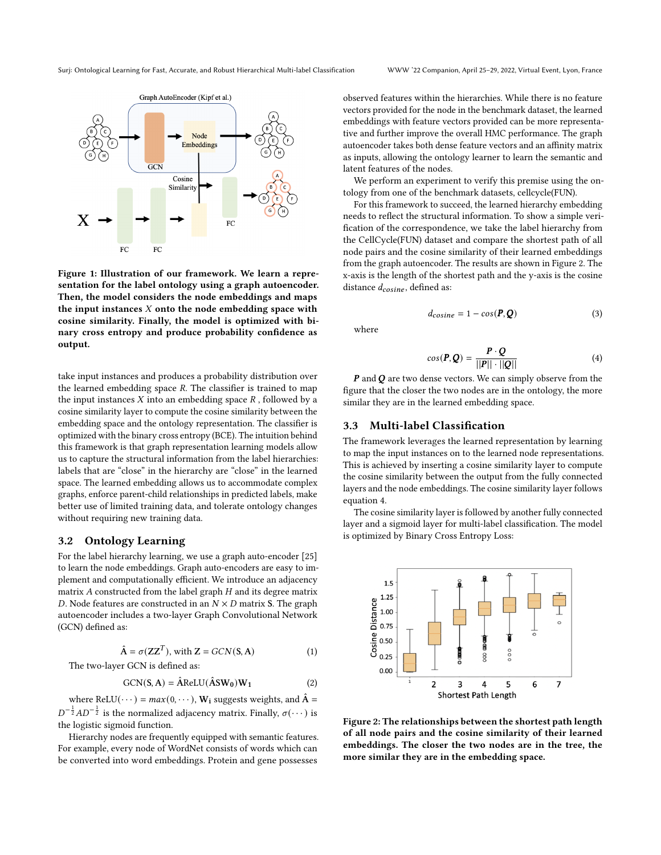

Figure 1: Illustration of our framework. We learn a representation for the label ontology using a graph autoencoder. Then, the model considers the node embeddings and maps the input instances  $X$  onto the node embedding space with cosine similarity. Finally, the model is optimized with binary cross entropy and produce probability confidence as output.

take input instances and produces a probability distribution over the learned embedding space  $R$ . The classifier is trained to map the input instances  $X$  into an embedding space  $R$ , followed by a cosine similarity layer to compute the cosine similarity between the embedding space and the ontology representation. The classifier is optimized with the binary cross entropy (BCE). The intuition behind this framework is that graph representation learning models allow us to capture the structural information from the label hierarchies: labels that are "close" in the hierarchy are "close" in the learned space. The learned embedding allows us to accommodate complex graphs, enforce parent-child relationships in predicted labels, make better use of limited training data, and tolerate ontology changes without requiring new training data.

### 3.2 Ontology Learning

For the label hierarchy learning, we use a graph auto-encoder [\[25\]](#page-8-41) to learn the node embeddings. Graph auto-encoders are easy to implement and computationally efficient. We introduce an adjacency matrix  $\boldsymbol{A}$  constructed from the label graph  $\boldsymbol{H}$  and its degree matrix D. Node features are constructed in an  $N \times D$  matrix S. The graph autoencoder includes a two-layer Graph Convolutional Network (GCN) defined as:

$$
\hat{A} = \sigma(ZZ^T), \text{ with } Z = GCN(S, A)
$$
 (1)

The two-layer GCN is defined as:

$$
GCN(S, A) = \hat{A}ReLU(\hat{A}SW_0)W_1
$$
 (2)

where ReLU( $\cdots$ ) =  $max(0, \cdots)$ , W<sub>i</sub> suggests weights, and  $\hat{A}$  =  $D^{-\frac{1}{2}}AD^{-\frac{1}{2}}$  is the normalized adjacency matrix. Finally,  $\sigma(\cdots)$  is the logistic sigmoid function.

Hierarchy nodes are frequently equipped with semantic features. For example, every node of WordNet consists of words which can be converted into word embeddings. Protein and gene possesses

observed features within the hierarchies. While there is no feature vectors provided for the node in the benchmark dataset, the learned embeddings with feature vectors provided can be more representative and further improve the overall HMC performance. The graph autoencoder takes both dense feature vectors and an affinity matrix as inputs, allowing the ontology learner to learn the semantic and latent features of the nodes.

We perform an experiment to verify this premise using the ontology from one of the benchmark datasets, cellcycle(FUN).

For this framework to succeed, the learned hierarchy embedding needs to reflect the structural information. To show a simple verification of the correspondence, we take the label hierarchy from the CellCycle(FUN) dataset and compare the shortest path of all node pairs and the cosine similarity of their learned embeddings from the graph autoencoder. The results are shown in Figure [2.](#page-2-0) The x-axis is the length of the shortest path and the y-axis is the cosine distance  $d_{cosine}$ , defined as:

$$
d_{cosine} = 1 - \cos(P, Q) \tag{3}
$$

where

<span id="page-2-1"></span>
$$
cos(\boldsymbol{P}, \boldsymbol{Q}) = \frac{\boldsymbol{P} \cdot \boldsymbol{Q}}{||\boldsymbol{P}|| \cdot ||\boldsymbol{Q}||}
$$
 (4)

 $P$  and  $Q$  are two dense vectors. We can simply observe from the figure that the closer the two nodes are in the ontology, the more similar they are in the learned embedding space.

#### 3.3 Multi-label Classification

The framework leverages the learned representation by learning to map the input instances on to the learned node representations. This is achieved by inserting a cosine similarity layer to compute the cosine similarity between the output from the fully connected layers and the node embeddings. The cosine similarity layer follows equation [4.](#page-2-1)

The cosine similarity layer is followed by another fully connected layer and a sigmoid layer for multi-label classification. The model is optimized by Binary Cross Entropy Loss:

<span id="page-2-0"></span>

Figure 2: The relationships between the shortest path length of all node pairs and the cosine similarity of their learned embeddings. The closer the two nodes are in the tree, the more similar they are in the embedding space.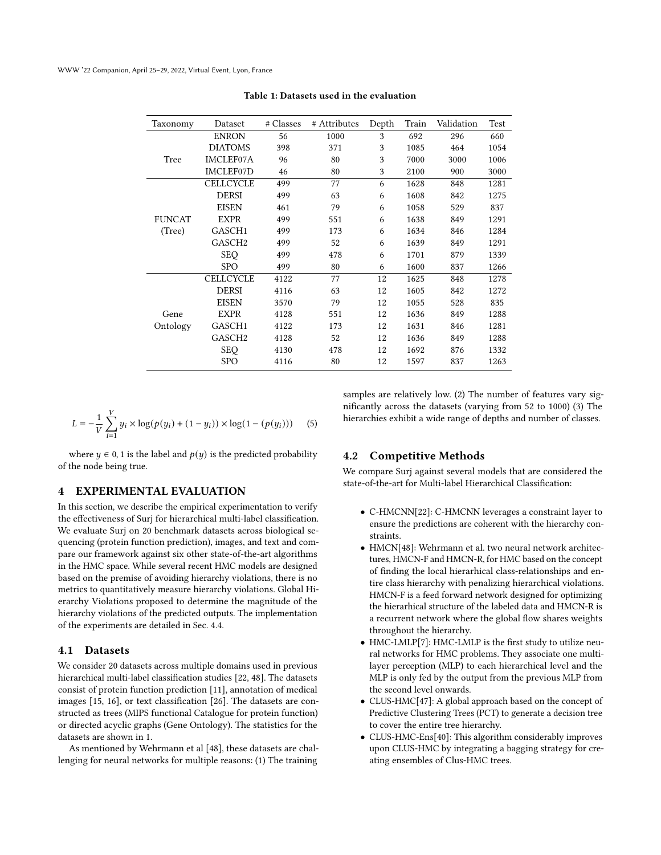<span id="page-3-0"></span>WWW '22 Companion, April 25–29, 2022, Virtual Event, Lyon, France

| Taxonomy      | Dataset            | # Classes | # Attributes | Depth | Train | Validation | Test |
|---------------|--------------------|-----------|--------------|-------|-------|------------|------|
|               | <b>ENRON</b>       | 56        | 1000         | 3     | 692   | 296        | 660  |
|               | <b>DIATOMS</b>     | 398       | 371          | 3     | 1085  | 464        | 1054 |
| Tree          | <b>IMCLEF07A</b>   | 96        | 80           | 3     | 7000  | 3000       | 1006 |
|               | <b>IMCLEF07D</b>   | 46        | 80           | 3     | 2100  | 900        | 3000 |
|               | <b>CELLCYCLE</b>   | 499       | 77           | 6     | 1628  | 848        | 1281 |
|               | <b>DERSI</b>       | 499       | 63           | 6     | 1608  | 842        | 1275 |
|               | <b>EISEN</b>       | 461       | 79           | 6     | 1058  | 529        | 837  |
| <b>FUNCAT</b> | <b>EXPR</b>        | 499       | 551          | 6     | 1638  | 849        | 1291 |
| (Tree)        | GASCH1             | 499       | 173          | 6     | 1634  | 846        | 1284 |
|               | GASCH <sub>2</sub> | 499       | 52           | 6     | 1639  | 849        | 1291 |
|               | <b>SEQ</b>         | 499       | 478          | 6     | 1701  | 879        | 1339 |
|               | <b>SPO</b>         | 499       | 80           | 6     | 1600  | 837        | 1266 |
|               | <b>CELLCYCLE</b>   | 4122      | 77           | 12    | 1625  | 848        | 1278 |
|               | <b>DERSI</b>       | 4116      | 63           | 12    | 1605  | 842        | 1272 |
|               | <b>EISEN</b>       | 3570      | 79           | 12    | 1055  | 528        | 835  |
| Gene          | <b>EXPR</b>        | 4128      | 551          | 12    | 1636  | 849        | 1288 |
| Ontology      | GASCH1             | 4122      | 173          | 12    | 1631  | 846        | 1281 |
|               | GASCH <sub>2</sub> | 4128      | 52           | 12    | 1636  | 849        | 1288 |
|               | <b>SEQ</b>         | 4130      | 478          | 12    | 1692  | 876        | 1332 |
|               | <b>SPO</b>         | 4116      | 80           | 12    | 1597  | 837        | 1263 |

Table 1: Datasets used in the evaluation

$$
L = -\frac{1}{V} \sum_{i=1}^{V} y_i \times \log(p(y_i) + (1 - y_i)) \times \log(1 - (p(y_i)))
$$
 (5)

where  $y \in 0, 1$  is the label and  $p(y)$  is the predicted probability of the node being true.

#### 4 EXPERIMENTAL EVALUATION

In this section, we describe the empirical experimentation to verify the effectiveness of Surj for hierarchical multi-label classification. We evaluate Surj on 20 benchmark datasets across biological sequencing (protein function prediction), images, and text and compare our framework against six other state-of-the-art algorithms in the HMC space. While several recent HMC models are designed based on the premise of avoiding hierarchy violations, there is no metrics to quantitatively measure hierarchy violations. Global Hierarchy Violations proposed to determine the magnitude of the hierarchy violations of the predicted outputs. The implementation of the experiments are detailed in Sec. [4.4.](#page-4-0)

#### 4.1 Datasets

We consider 20 datasets across multiple domains used in previous hierarchical multi-label classification studies [\[22,](#page-8-16) [48\]](#page-8-13). The datasets consist of protein function prediction [\[11\]](#page-8-42), annotation of medical images [\[15,](#page-8-43) [16\]](#page-8-44), or text classification [\[26\]](#page-8-45). The datasets are constructed as trees (MIPS functional Catalogue for protein function) or directed acyclic graphs (Gene Ontology). The statistics for the datasets are shown in [1.](#page-3-0)

As mentioned by Wehrmann et al [\[48\]](#page-8-13), these datasets are challenging for neural networks for multiple reasons: (1) The training

samples are relatively low. (2) The number of features vary significantly across the datasets (varying from 52 to 1000) (3) The hierarchies exhibit a wide range of depths and number of classes.

#### 4.2 Competitive Methods

We compare Surj against several models that are considered the state-of-the-art for Multi-label Hierarchical Classification:

- C-HMCNN[\[22\]](#page-8-16): C-HMCNN leverages a constraint layer to ensure the predictions are coherent with the hierarchy constraints.
- HMCN[\[48\]](#page-8-13): Wehrmann et al. two neural network architectures, HMCN-F and HMCN-R, for HMC based on the concept of finding the local hierarhical class-relationships and entire class hierarchy with penalizing hierarchical violations. HMCN-F is a feed forward network designed for optimizing the hierarhical structure of the labeled data and HMCN-R is a recurrent network where the global flow shares weights throughout the hierarchy.
- HMC-LMLP[\[7\]](#page-8-32): HMC-LMLP is the first study to utilize neural networks for HMC problems. They associate one multilayer perception (MLP) to each hierarchical level and the MLP is only fed by the output from the previous MLP from the second level onwards.
- CLUS-HMC[\[47\]](#page-8-27): A global approach based on the concept of Predictive Clustering Trees (PCT) to generate a decision tree to cover the entire tree hierarchy.
- CLUS-HMC-Ens[\[40\]](#page-8-28): This algorithm considerably improves upon CLUS-HMC by integrating a bagging strategy for creating ensembles of Clus-HMC trees.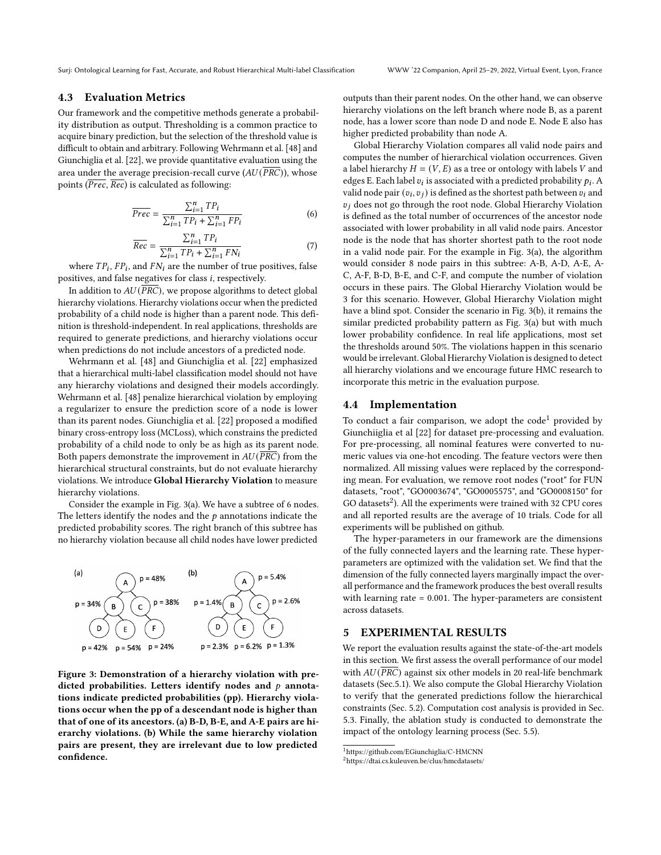#### 4.3 Evaluation Metrics

Our framework and the competitive methods generate a probability distribution as output. Thresholding is a common practice to acquire binary prediction, but the selection of the threshold value is difficult to obtain and arbitrary. Following Wehrmann et al. [\[48\]](#page-8-13) and Giunchiglia et al. [\[22\]](#page-8-16), we provide quantitative evaluation using the area under the average precision-recall curve ( $AU(\overline{PRC})$ ), whose points  $(\overline{Prec}, \overline{Rec})$  is calculated as following:

$$
\overline{Prec} = \frac{\sum_{i=1}^{n} TP_i}{\sum_{i=1}^{n} TP_i + \sum_{i=1}^{n} FP_i}
$$
 (6)

$$
\overline{Rec} = \frac{\sum_{i=1}^{n} TP_i}{\sum_{i=1}^{n} TP_i + \sum_{i=1}^{n} FN_i}
$$
\n(7)

where  $TP_i$ ,  $FP_i$ , and  $FN_i$  are the number of true positives, false positives, and false negatives for class  $i$ , respectively.

In addition to  $AU(\overline{PRC})$ , we propose algorithms to detect global hierarchy violations. Hierarchy violations occur when the predicted probability of a child node is higher than a parent node. This definition is threshold-independent. In real applications, thresholds are required to generate predictions, and hierarchy violations occur when predictions do not include ancestors of a predicted node.

Wehrmann et al. [\[48\]](#page-8-13) and Giunchiglia et al. [\[22\]](#page-8-16) emphasized that a hierarchical multi-label classification model should not have any hierarchy violations and designed their models accordingly. Wehrmann et al. [\[48\]](#page-8-13) penalize hierarchical violation by employing a regularizer to ensure the prediction score of a node is lower than its parent nodes. Giunchiglia et al. [\[22\]](#page-8-16) proposed a modified binary cross-entropy loss (MCLoss), which constrains the predicted probability of a child node to only be as high as its parent node. Both papers demonstrate the improvement in  $AU(\overline{PRC})$  from the hierarchical structural constraints, but do not evaluate hierarchy violations. We introduce Global Hierarchy Violation to measure hierarchy violations.

Consider the example in Fig. [3\(](#page-4-1)a). We have a subtree of 6 nodes. The letters identify the nodes and the  $p$  annotations indicate the predicted probability scores. The right branch of this subtree has no hierarchy violation because all child nodes have lower predicted

<span id="page-4-1"></span>

Figure 3: Demonstration of a hierarchy violation with predicted probabilities. Letters identify nodes and  $p$  annotations indicate predicted probabilities (pp). Hierarchy violations occur when the pp of a descendant node is higher than that of one of its ancestors. (a) B-D, B-E, and A-E pairs are hierarchy violations. (b) While the same hierarchy violation pairs are present, they are irrelevant due to low predicted confidence.

outputs than their parent nodes. On the other hand, we can observe hierarchy violations on the left branch where node B, as a parent node, has a lower score than node D and node E. Node E also has higher predicted probability than node A.

Global Hierarchy Violation compares all valid node pairs and computes the number of hierarchical violation occurrences. Given a label hierarchy  $H = (V, E)$  as a tree or ontology with labels V and edges E. Each label  $v_i$  is associated with a predicted probability  $p_i$ . A valid node pair  $(v_i, v_j)$  is defined as the shortest path between  $v_i$  and  $v_i$  does not go through the root node. Global Hierarchy Violation is defined as the total number of occurrences of the ancestor node associated with lower probability in all valid node pairs. Ancestor node is the node that has shorter shortest path to the root node in a valid node pair. For the example in Fig. [3\(](#page-4-1)a), the algorithm would consider 8 node pairs in this subtree: A-B, A-D, A-E, A-C, A-F, B-D, B-E, and C-F, and compute the number of violation occurs in these pairs. The Global Hierarchy Violation would be 3 for this scenario. However, Global Hierarchy Violation might have a blind spot. Consider the scenario in Fig. [3\(](#page-4-1)b), it remains the similar predicted probability pattern as Fig. [3\(](#page-4-1)a) but with much lower probability confidence. In real life applications, most set the thresholds around 50%. The violations happen in this scenario would be irrelevant. Global Hierarchy Violation is designed to detect all hierarchy violations and we encourage future HMC research to incorporate this metric in the evaluation purpose.

#### <span id="page-4-0"></span>4.4 Implementation

To conduct a fair comparison, we adopt the  $code<sup>1</sup>$  $code<sup>1</sup>$  $code<sup>1</sup>$  provided by Giunchiiglia et al [\[22\]](#page-8-16) for dataset pre-processing and evaluation. For pre-processing, all nominal features were converted to numeric values via one-hot encoding. The feature vectors were then normalized. All missing values were replaced by the corresponding mean. For evaluation, we remove root nodes ("root" for FUN datasets, "root", "GO0003674", "GO0005575", and "GO0008150" for GO datasets<sup>[2](#page-4-3)</sup>). All the experiments were trained with 32 CPU cores and all reported results are the average of 10 trials. Code for all experiments will be published on github.

The hyper-parameters in our framework are the dimensions of the fully connected layers and the learning rate. These hyperparameters are optimized with the validation set. We find that the dimension of the fully connected layers marginally impact the overall performance and the framework produces the best overall results with learning rate = 0.001. The hyper-parameters are consistent across datasets.

### 5 EXPERIMENTAL RESULTS

We report the evaluation results against the state-of-the-art models in this section. We first assess the overall performance of our model with  $AU(\overline{PRC})$  against six other models in 20 real-life benchmark datasets (Sec[.5.1\)](#page-5-0). We also compute the Global Hierarchy Violation to verify that the generated predictions follow the hierarchical constraints (Sec. [5.2\)](#page-5-1). Computation cost analysis is provided in Sec. [5.3.](#page-5-2) Finally, the ablation study is conducted to demonstrate the impact of the ontology learning process (Sec. [5.5\)](#page-6-0).

<span id="page-4-2"></span><sup>1</sup><https://github.com/EGiunchiglia/C-HMCNN>

<span id="page-4-3"></span><sup>2</sup><https://dtai.cs.kuleuven.be/clus/hmcdatasets/>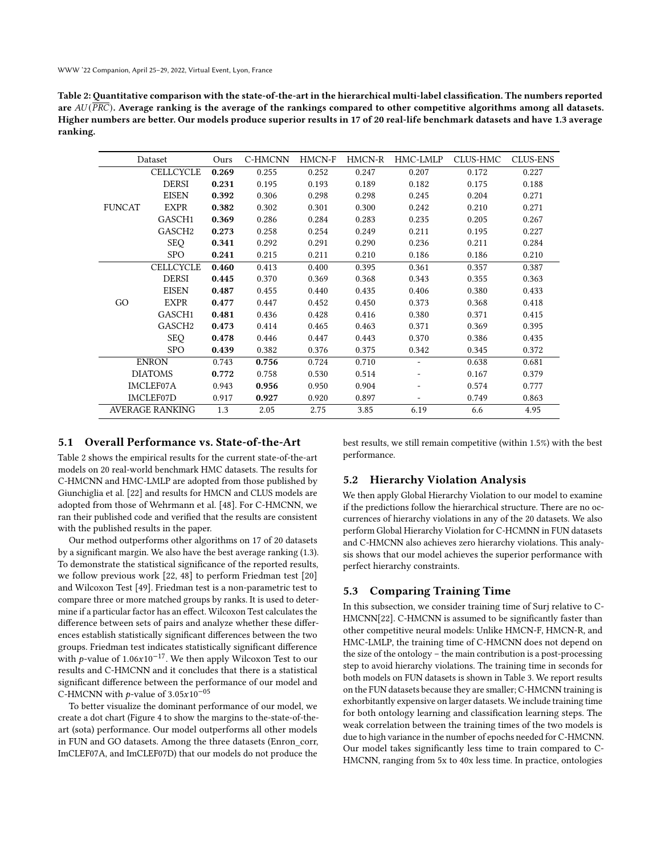WWW '22 Companion, April 25–29, 2022, Virtual Event, Lyon, France

<span id="page-5-3"></span>Table 2: Quantitative comparison with the state-of-the-art in the hierarchical multi-label classification. The numbers reported are  $AU(\overline{PRC})$ . Average ranking is the average of the rankings compared to other competitive algorithms among all datasets. Higher numbers are better. Our models produce superior results in 17 of 20 real-life benchmark datasets and have 1.3 average ranking.

| Dataset                |                    | Ours  | C-HMCNN | HMCN-F | HMCN-R | HMC-LMLP | CLUS-HMC | CLUS-ENS |
|------------------------|--------------------|-------|---------|--------|--------|----------|----------|----------|
|                        | <b>CELLCYCLE</b>   | 0.269 | 0.255   | 0.252  | 0.247  | 0.207    | 0.172    | 0.227    |
|                        | <b>DERSI</b>       | 0.231 | 0.195   | 0.193  | 0.189  | 0.182    | 0.175    | 0.188    |
|                        | <b>EISEN</b>       | 0.392 | 0.306   | 0.298  | 0.298  | 0.245    | 0.204    | 0.271    |
| <b>FUNCAT</b>          | <b>EXPR</b>        | 0.382 | 0.302   | 0.301  | 0.300  | 0.242    | 0.210    | 0.271    |
|                        | GASCH1             | 0.369 | 0.286   | 0.284  | 0.283  | 0.235    | 0.205    | 0.267    |
|                        | GASCH2             | 0.273 | 0.258   | 0.254  | 0.249  | 0.211    | 0.195    | 0.227    |
|                        | <b>SEQ</b>         | 0.341 | 0.292   | 0.291  | 0.290  | 0.236    | 0.211    | 0.284    |
|                        | <b>SPO</b>         | 0.241 | 0.215   | 0.211  | 0.210  | 0.186    | 0.186    | 0.210    |
|                        | <b>CELLCYCLE</b>   | 0.460 | 0.413   | 0.400  | 0.395  | 0.361    | 0.357    | 0.387    |
|                        | <b>DERSI</b>       | 0.445 | 0.370   | 0.369  | 0.368  | 0.343    | 0.355    | 0.363    |
|                        | <b>EISEN</b>       | 0.487 | 0.455   | 0.440  | 0.435  | 0.406    | 0.380    | 0.433    |
| GO                     | <b>EXPR</b>        | 0.477 | 0.447   | 0.452  | 0.450  | 0.373    | 0.368    | 0.418    |
|                        | GASCH1             | 0.481 | 0.436   | 0.428  | 0.416  | 0.380    | 0.371    | 0.415    |
|                        | GASCH <sub>2</sub> | 0.473 | 0.414   | 0.465  | 0.463  | 0.371    | 0.369    | 0.395    |
|                        | <b>SEQ</b>         | 0.478 | 0.446   | 0.447  | 0.443  | 0.370    | 0.386    | 0.435    |
|                        | <b>SPO</b>         | 0.439 | 0.382   | 0.376  | 0.375  | 0.342    | 0.345    | 0.372    |
| <b>ENRON</b>           |                    | 0.743 | 0.756   | 0.724  | 0.710  |          | 0.638    | 0.681    |
| <b>DIATOMS</b>         |                    | 0.772 | 0.758   | 0.530  | 0.514  |          | 0.167    | 0.379    |
| IMCLEF07A              |                    | 0.943 | 0.956   | 0.950  | 0.904  |          | 0.574    | 0.777    |
| IMCLEF07D              |                    | 0.917 | 0.927   | 0.920  | 0.897  |          | 0.749    | 0.863    |
| <b>AVERAGE RANKING</b> |                    | 1.3   | 2.05    | 2.75   | 3.85   | 6.19     | 6.6      | 4.95     |

## <span id="page-5-0"></span>5.1 Overall Performance vs. State-of-the-Art

Table [2](#page-5-3) shows the empirical results for the current state-of-the-art models on 20 real-world benchmark HMC datasets. The results for C-HMCNN and HMC-LMLP are adopted from those published by Giunchiglia et al. [\[22\]](#page-8-16) and results for HMCN and CLUS models are adopted from those of Wehrmann et al. [\[48\]](#page-8-13). For C-HMCNN, we ran their published code and verified that the results are consistent with the published results in the paper.

Our method outperforms other algorithms on 17 of 20 datasets by a significant margin. We also have the best average ranking (1.3). To demonstrate the statistical significance of the reported results, we follow previous work [\[22,](#page-8-16) [48\]](#page-8-13) to perform Friedman test [\[20\]](#page-8-46) and Wilcoxon Test [\[49\]](#page-8-47). Friedman test is a non-parametric test to compare three or more matched groups by ranks. It is used to determine if a particular factor has an effect. Wilcoxon Test calculates the difference between sets of pairs and analyze whether these differences establish statistically significant differences between the two groups. Friedman test indicates statistically significant difference with  $p$ -value of 1.06x10<sup>-17</sup>. We then apply Wilcoxon Test to our results and C-HMCNN and it concludes that there is a statistical significant difference between the performance of our model and C-HMCNN with  $p$ -value of 3.05 $x10^{-05}$ 

To better visualize the dominant performance of our model, we create a dot chart (Figure [4](#page-6-1) to show the margins to the-state-of-theart (sota) performance. Our model outperforms all other models in FUN and GO datasets. Among the three datasets (Enron\_corr, ImCLEF07A, and ImCLEF07D) that our models do not produce the

best results, we still remain competitive (within 1.5%) with the best performance.

# <span id="page-5-1"></span>5.2 Hierarchy Violation Analysis

We then apply Global Hierarchy Violation to our model to examine if the predictions follow the hierarchical structure. There are no occurrences of hierarchy violations in any of the 20 datasets. We also perform Global Hierarchy Violation for C-HCMNN in FUN datasets and C-HMCNN also achieves zero hierarchy violations. This analysis shows that our model achieves the superior performance with perfect hierarchy constraints.

### <span id="page-5-2"></span>5.3 Comparing Training Time

In this subsection, we consider training time of Surj relative to C-HMCNN[\[22\]](#page-8-16). C-HMCNN is assumed to be significantly faster than other competitive neural models: Unlike HMCN-F, HMCN-R, and HMC-LMLP, the training time of C-HMCNN does not depend on the size of the ontology – the main contribution is a post-processing step to avoid hierarchy violations. The training time in seconds for both models on FUN datasets is shown in Table [3.](#page-6-2) We report results on the FUN datasets because they are smaller; C-HMCNN training is exhorbitantly expensive on larger datasets. We include training time for both ontology learning and classification learning steps. The weak correlation between the training times of the two models is due to high variance in the number of epochs needed for C-HMCNN. Our model takes significantly less time to train compared to C-HMCNN, ranging from 5x to 40x less time. In practice, ontologies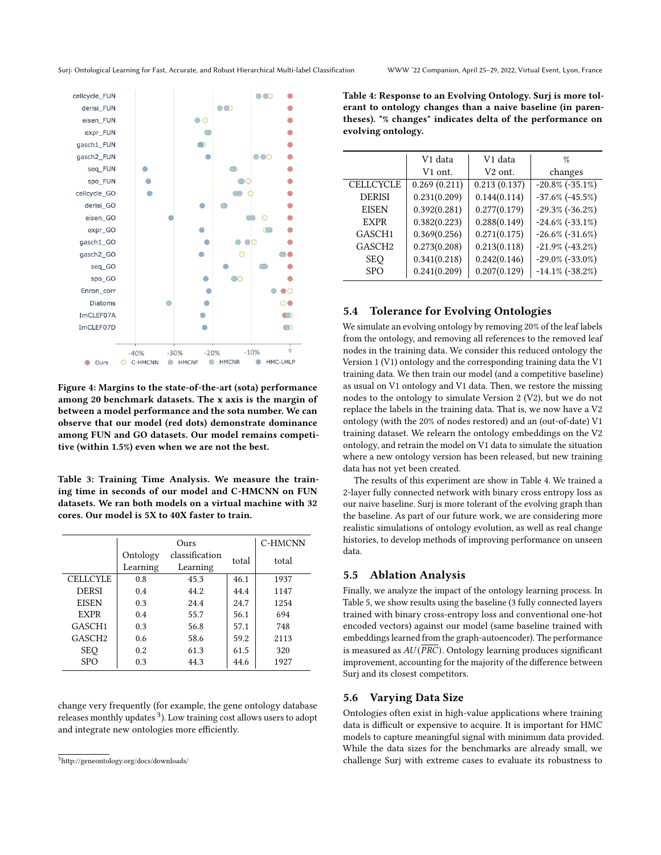<span id="page-6-1"></span>

Figure 4: Margins to the state-of-the-art (sota) performance among 20 benchmark datasets. The x axis is the margin of between a model performance and the sota number. We can observe that our model (red dots) demonstrate dominance among FUN and GO datasets. Our model remains competitive (within 1.5%) even when we are not the best.

<span id="page-6-2"></span>Table 3: Training Time Analysis. We measure the training time in seconds of our model and C-HMCNN on FUN datasets. We ran both models on a virtual machine with 32 cores. Our model is 5X to 40X faster to train.

|                    |          | Ours           |       | C-HMCNN |
|--------------------|----------|----------------|-------|---------|
|                    | Ontology | classification | total | total   |
|                    | Learning | Learning       |       |         |
| <b>CELLCYLE</b>    | 0.8      | 45.3           | 46.1  | 1937    |
| <b>DERSI</b>       | 0.4      | 44.2           | 44.4  | 1147    |
| <b>EISEN</b>       | 0.3      | 24.4           | 24.7  | 1254    |
| <b>EXPR</b>        | 0.4      | 55.7           | 56.1  | 694     |
| GASCH <sub>1</sub> | 0.3      | 56.8           | 57.1  | 748     |
| GASCH <sub>2</sub> | 0.6      | 58.6           | 59.2  | 2113    |
| <b>SEQ</b>         | 0.2      | 61.3           | 61.5  | 320     |
| <b>SPO</b>         | 0.3      | 44.3           | 44.6  | 1927    |

change very frequently (for example, the gene ontology database releases monthly updates <sup>[3](#page-6-3)</sup>). Low training cost allows users to adopt and integrate new ontologies more efficiently.

<span id="page-6-4"></span>Table 4: Response to an Evolving Ontology. Surj is more tolerant to ontology changes than a naive baseline (in parentheses). "% changes" indicates delta of the performance on evolving ontology.

|                    | V1 data      | V1 data             | $\%$                    |
|--------------------|--------------|---------------------|-------------------------|
|                    | V1 ont.      | V <sub>2</sub> ont. | changes                 |
| <b>CELLCYCLE</b>   | 0.269(0.211) | 0.213(0.137)        | $-20.8\%$ $(-35.1\%)$   |
| <b>DERISI</b>      | 0.231(0.209) | 0.144(0.114)        | $-37.6\%$ (-45.5%)      |
| <b>EISEN</b>       | 0.392(0.281) | 0.277(0.179)        | $-29.3\%$ ( $-36.2\%$ ) |
| <b>EXPR</b>        | 0.382(0.223) | 0.288(0.149)        | $-24.6\%$ ( $-33.1\%$ ) |
| GASCH1             | 0.369(0.256) | 0.271(0.175)        | $-26.6\%$ ( $-31.6\%$ ) |
| GASCH <sub>2</sub> | 0.273(0.208) | 0.213(0.118)        | $-21.9\%$ ( $-43.2\%$ ) |
| <b>SEO</b>         | 0.341(0.218) | 0.242(0.146)        | $-29.0\%$ ( $-33.0\%$ ) |
| <b>SPO</b>         | 0.241(0.209) | 0.207(0.129)        | $-14.1\%$ ( $-38.2\%$ ) |
|                    |              |                     |                         |

#### 5.4 Tolerance for Evolving Ontologies

We simulate an evolving ontology by removing 20% of the leaf labels from the ontology, and removing all references to the removed leaf nodes in the training data. We consider this reduced ontology the Version 1 (V1) ontology and the corresponding training data the V1 training data. We then train our model (and a competitive baseline) as usual on V1 ontology and V1 data. Then, we restore the missing nodes to the ontology to simulate Version 2 (V2), but we do not replace the labels in the training data. That is, we now have a V2 ontology (with the 20% of nodes restored) and an (out-of-date) V1 training dataset. We relearn the ontology embeddings on the V2 ontology, and retrain the model on V1 data to simulate the situation where a new ontology version has been released, but new training data has not yet been created.

The results of this experiment are show in Table [4.](#page-6-4) We trained a 2-layer fully connected network with binary cross entropy loss as our naive baseline. Surj is more tolerant of the evolving graph than the baseline. As part of our future work, we are considering more realistic simulations of ontology evolution, as well as real change histories, to develop methods of improving performance on unseen data.

#### <span id="page-6-0"></span>5.5 Ablation Analysis

Finally, we analyze the impact of the ontology learning process. In Table [5,](#page-7-0) we show results using the baseline (3 fully connected layers trained with binary cross-entropy loss and conventional one-hot encoded vectors) against our model (same baseline trained with embeddings learned from the graph-autoencoder). The performance is measured as  $AU(\overline{PRC})$ . Ontology learning produces significant improvement, accounting for the majority of the difference between Surj and its closest competitors.

#### 5.6 Varying Data Size

Ontologies often exist in high-value applications where training data is difficult or expensive to acquire. It is important for HMC models to capture meaningful signal with minimum data provided. While the data sizes for the benchmarks are already small, we challenge Surj with extreme cases to evaluate its robustness to

<span id="page-6-3"></span><sup>3</sup><http://geneontology.org/docs/downloads/>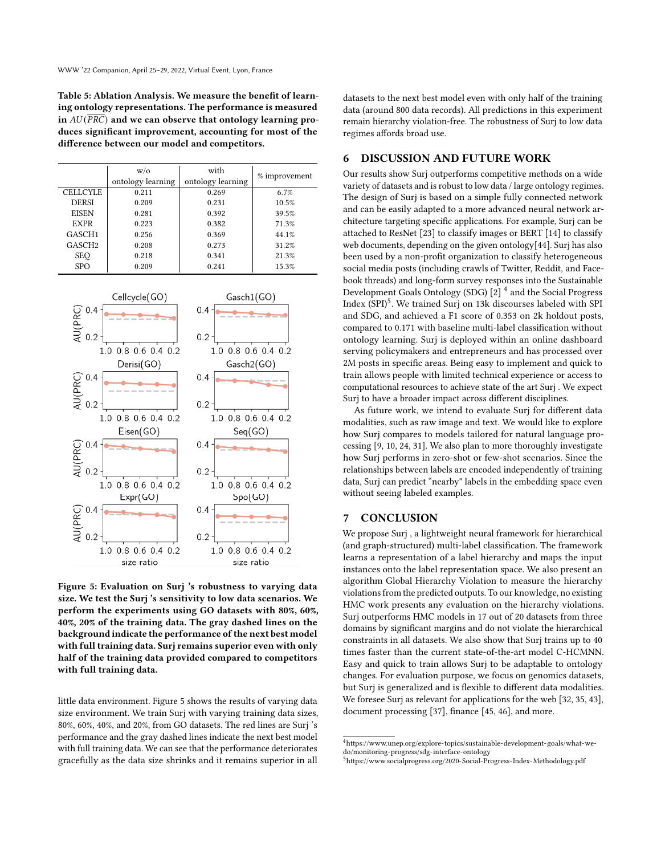<span id="page-7-0"></span>Table 5: Ablation Analysis. We measure the benefit of learning ontology representations. The performance is measured in  $AU(\overline{PRC})$  and we can observe that ontology learning produces significant improvement, accounting for most of the difference between our model and competitors.

|                    | W/O<br>ontology learning | with<br>ontology learning | % improvement |
|--------------------|--------------------------|---------------------------|---------------|
| <b>CELLCYLE</b>    | 0.211                    | 0.269                     | 6.7%          |
| <b>DERSI</b>       | 0.209                    | 0.231                     | 10.5%         |
| <b>EISEN</b>       | 0.281                    | 0.392                     | 39.5%         |
| <b>EXPR</b>        | 0.223                    | 0.382                     | 71.3%         |
| GASCH <sub>1</sub> | 0.256                    | 0.369                     | 44.1%         |
| GASCH <sub>2</sub> | 0.208                    | 0.273                     | 31.2%         |
| <b>SEQ</b>         | 0.218                    | 0.341                     | 21.3%         |
| <b>SPO</b>         | 0.209                    | 0.241                     | 15.3%         |

<span id="page-7-1"></span>

Figure 5: Evaluation on Surj 's robustness to varying data size. We test the Surj 's sensitivity to low data scenarios. We perform the experiments using GO datasets with 80%, 60%, 40%, 20% of the training data. The gray dashed lines on the background indicate the performance of the next best model with full training data. Surj remains superior even with only half of the training data provided compared to competitors with full training data.

little data environment. Figure [5](#page-7-1) shows the results of varying data size environment. We train Surj with varying training data sizes, 80%, 60%, 40%, and 20%, from GO datasets. The red lines are Surj 's performance and the gray dashed lines indicate the next best model with full training data. We can see that the performance deteriorates gracefully as the data size shrinks and it remains superior in all

datasets to the next best model even with only half of the training data (around 800 data records). All predictions in this experiment remain hierarchy violation-free. The robustness of Surj to low data regimes affords broad use.

## 6 DISCUSSION AND FUTURE WORK

Our results show Surj outperforms competitive methods on a wide variety of datasets and is robust to low data / large ontology regimes. The design of Surj is based on a simple fully connected network and can be easily adapted to a more advanced neural network architecture targeting specific applications. For example, Surj can be attached to ResNet [\[23\]](#page-8-11) to classify images or BERT [\[14\]](#page-8-48) to classify web documents, depending on the given ontology[\[44\]](#page-8-18). Surj has also been used by a non-profit organization to classify heterogeneous social media posts (including crawls of Twitter, Reddit, and Facebook threads) and long-form survey responses into the Sustainable Development Goals Ontology (SDG) [\[2\]](#page-8-49) [4](#page-7-2) and the Social Progress Index (SPI)<sup>[5](#page-7-3)</sup>. We trained Surj on 13k discourses labeled with SPI and SDG, and achieved a F1 score of 0.353 on 2k holdout posts, compared to 0.171 with baseline multi-label classification without ontology learning. Surj is deployed within an online dashboard serving policymakers and entrepreneurs and has processed over 2M posts in specific areas. Being easy to implement and quick to train allows people with limited technical experience or access to computational resources to achieve state of the art Surj . We expect Surj to have a broader impact across different disciplines.

As future work, we intend to evaluate Surj for different data modalities, such as raw image and text. We would like to explore how Surj compares to models tailored for natural language processing [\[9,](#page-8-24) [10,](#page-8-15) [24,](#page-8-25) [31\]](#page-8-26). We also plan to more thoroughly investigate how Surj performs in zero-shot or few-shot scenarios. Since the relationships between labels are encoded independently of training data, Surj can predict "nearby" labels in the embedding space even without seeing labeled examples.

## 7 CONCLUSION

We propose Surj , a lightweight neural framework for hierarchical (and graph-structured) multi-label classification. The framework learns a representation of a label hierarchy and maps the input instances onto the label representation space. We also present an algorithm Global Hierarchy Violation to measure the hierarchy violations from the predicted outputs. To our knowledge, no existing HMC work presents any evaluation on the hierarchy violations. Surj outperforms HMC models in 17 out of 20 datasets from three domains by significant margins and do not violate the hierarchical constraints in all datasets. We also show that Surj trains up to 40 times faster than the current state-of-the-art model C-HCMNN. Easy and quick to train allows Surj to be adaptable to ontology changes. For evaluation purpose, we focus on genomics datasets, but Surj is generalized and is flexible to different data modalities. We foresee Surj as relevant for applications for the web [\[32,](#page-8-50) [35,](#page-8-51) [43\]](#page-8-17), document processing [\[37\]](#page-8-52), finance [\[45,](#page-8-21) [46\]](#page-8-22), and more.

<span id="page-7-2"></span> $^4$ [https://www.unep.org/explore-topics/sustainable-development-goals/what-we](https://www.unep.org/explore-topics/sustainable-development-goals/what-we-do/monitoring-progress/sdg-interface-ontology)[do/monitoring-progress/sdg-interface-ontology](https://www.unep.org/explore-topics/sustainable-development-goals/what-we-do/monitoring-progress/sdg-interface-ontology)

<span id="page-7-3"></span><sup>5</sup><https://www.socialprogress.org/2020-Social-Progress-Index-Methodology.pdf>